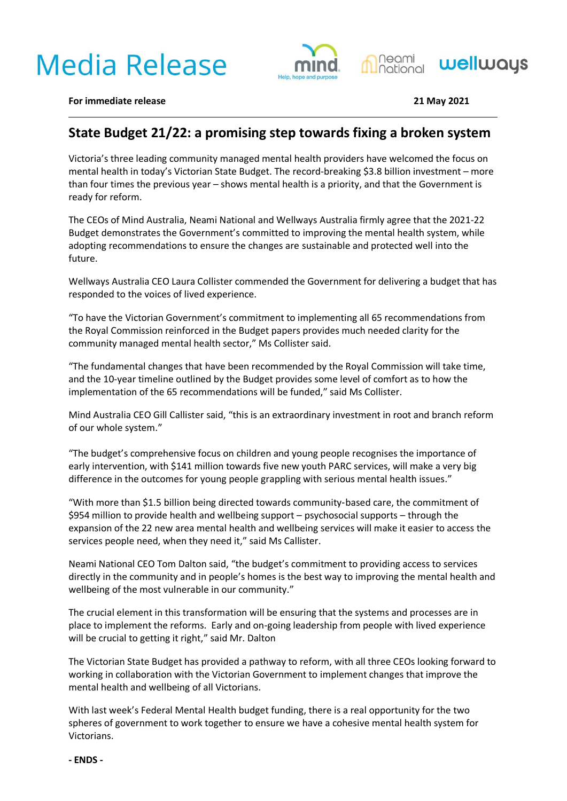# **Media Release**





**For immediate release 21 May 2021**

## **State Budget 21/22: a promising step towards fixing a broken system**

Victoria's three leading community managed mental health providers have welcomed the focus on mental health in today's Victorian State Budget. The record-breaking \$3.8 billion investment – more than four times the previous year – shows mental health is a priority, and that the Government is ready for reform.

The CEOs of Mind Australia, Neami National and Wellways Australia firmly agree that the 2021-22 Budget demonstrates the Government's committed to improving the mental health system, while adopting recommendations to ensure the changes are sustainable and protected well into the future.

Wellways Australia CEO Laura Collister commended the Government for delivering a budget that has responded to the voices of lived experience.

"To have the Victorian Government's commitment to implementing all 65 recommendations from the Royal Commission reinforced in the Budget papers provides much needed clarity for the community managed mental health sector," Ms Collister said.

"The fundamental changes that have been recommended by the Royal Commission will take time, and the 10-year timeline outlined by the Budget provides some level of comfort as to how the implementation of the 65 recommendations will be funded," said Ms Collister.

Mind Australia CEO Gill Callister said, "this is an extraordinary investment in root and branch reform of our whole system."

"The budget's comprehensive focus on children and young people recognises the importance of early intervention, with \$141 million towards five new youth PARC services, will make a very big difference in the outcomes for young people grappling with serious mental health issues."

"With more than \$1.5 billion being directed towards community-based care, the commitment of \$954 million to provide health and wellbeing support – psychosocial supports – through the expansion of the 22 new area mental health and wellbeing services will make it easier to access the services people need, when they need it," said Ms Callister.

Neami National CEO Tom Dalton said, "the budget's commitment to providing access to services directly in the community and in people's homes is the best way to improving the mental health and wellbeing of the most vulnerable in our community."

The crucial element in this transformation will be ensuring that the systems and processes are in place to implement the reforms. Early and on-going leadership from people with lived experience will be crucial to getting it right," said Mr. Dalton

The Victorian State Budget has provided a pathway to reform, with all three CEOs looking forward to working in collaboration with the Victorian Government to implement changes that improve the mental health and wellbeing of all Victorians.

With last week's Federal Mental Health budget funding, there is a real opportunity for the two spheres of government to work together to ensure we have a cohesive mental health system for Victorians.

**- ENDS -**